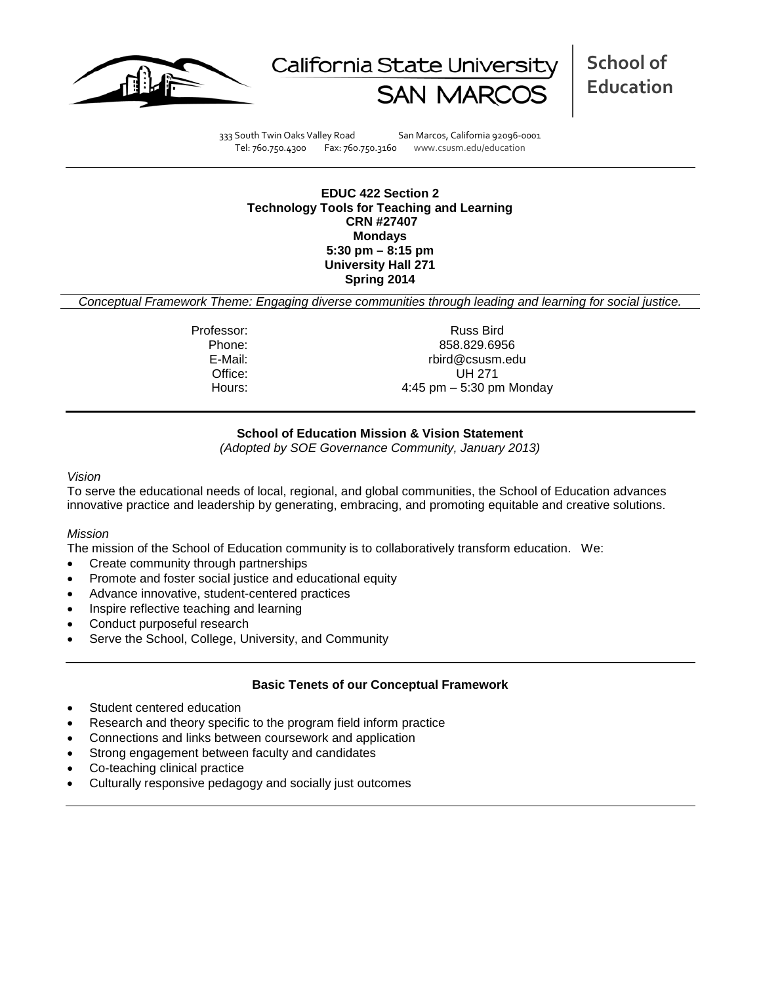



**School of Education**

333 South Twin Oaks Valley Road San Marcos, California 92096-0001 Tel: 760.750.4300 Fax: 760.750.3160 www.csusm.edu/education

**EDUC 422 Section 2 Technology Tools for Teaching and Learning CRN #27407 Mondays 5:30 pm – 8:15 pm University Hall 271 Spring 2014**

*Conceptual Framework Theme: Engaging diverse communities through leading and learning for social justice.*

Professor: Russ Bird Phone: 858.829.6956<br>E-Mail: E-Mail: E-Mail: E-Mail: rbird@csusm.edu Office: UH 271 Hours: 4:45 pm – 5:30 pm Monday

## **School of Education Mission & Vision Statement**

*(Adopted by SOE Governance Community, January 2013)*

#### *Vision*

To serve the educational needs of local, regional, and global communities, the School of Education advances innovative practice and leadership by generating, embracing, and promoting equitable and creative solutions.

### *Mission*

The mission of the School of Education community is to collaboratively transform education. We:

- Create community through partnerships
- Promote and foster social justice and educational equity
- Advance innovative, student-centered practices
- Inspire reflective teaching and learning
- Conduct purposeful research
- Serve the School, College, University, and Community

### **Basic Tenets of our Conceptual Framework**

- Student centered education
- Research and theory specific to the program field inform practice
- Connections and links between coursework and application
- Strong engagement between faculty and candidates
- Co-teaching clinical practice
- Culturally responsive pedagogy and socially just outcomes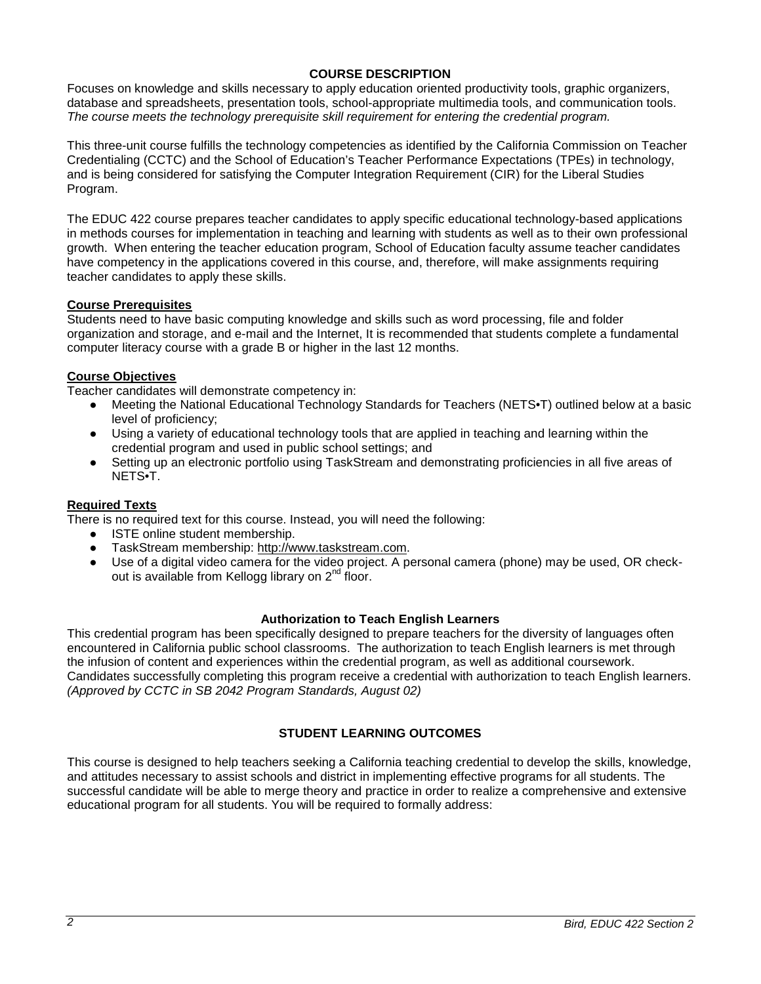## **COURSE DESCRIPTION**

Focuses on knowledge and skills necessary to apply education oriented productivity tools, graphic organizers, database and spreadsheets, presentation tools, school-appropriate multimedia tools, and communication tools. *The course meets the technology prerequisite skill requirement for entering the credential program.*

This three-unit course fulfills the technology competencies as identified by the California Commission on Teacher Credentialing (CCTC) and the School of Education's Teacher Performance Expectations (TPEs) in technology, and is being considered for satisfying the Computer Integration Requirement (CIR) for the Liberal Studies Program.

The EDUC 422 course prepares teacher candidates to apply specific educational technology-based applications in methods courses for implementation in teaching and learning with students as well as to their own professional growth. When entering the teacher education program, School of Education faculty assume teacher candidates have competency in the applications covered in this course, and, therefore, will make assignments requiring teacher candidates to apply these skills.

## **Course Prerequisites**

Students need to have basic computing knowledge and skills such as word processing, file and folder organization and storage, and e-mail and the Internet, It is recommended that students complete a fundamental computer literacy course with a grade B or higher in the last 12 months.

## **Course Objectives**

Teacher candidates will demonstrate competency in:

- Meeting the National Educational Technology Standards for Teachers (NETS•T) outlined below at a basic level of proficiency;
- Using a variety of educational technology tools that are applied in teaching and learning within the credential program and used in public school settings; and
- Setting up an electronic portfolio using TaskStream and demonstrating proficiencies in all five areas of NETS•T.

### **Required Texts**

There is no required text for this course. Instead, you will need the following:

- ISTE online student membership.
- TaskStream membership: [http://www.taskstream.com.](http://www.taskstream.com/)
- Use of a digital video camera for the video project. A personal camera (phone) may be used, OR checkout is available from Kellogg library on 2<sup>nd</sup> floor.

### **Authorization to Teach English Learners**

This credential program has been specifically designed to prepare teachers for the diversity of languages often encountered in California public school classrooms. The authorization to teach English learners is met through the infusion of content and experiences within the credential program, as well as additional coursework. Candidates successfully completing this program receive a credential with authorization to teach English learners. *(Approved by CCTC in SB 2042 Program Standards, August 02)*

# **STUDENT LEARNING OUTCOMES**

This course is designed to help teachers seeking a California teaching credential to develop the skills, knowledge, and attitudes necessary to assist schools and district in implementing effective programs for all students. The successful candidate will be able to merge theory and practice in order to realize a comprehensive and extensive educational program for all students. You will be required to formally address: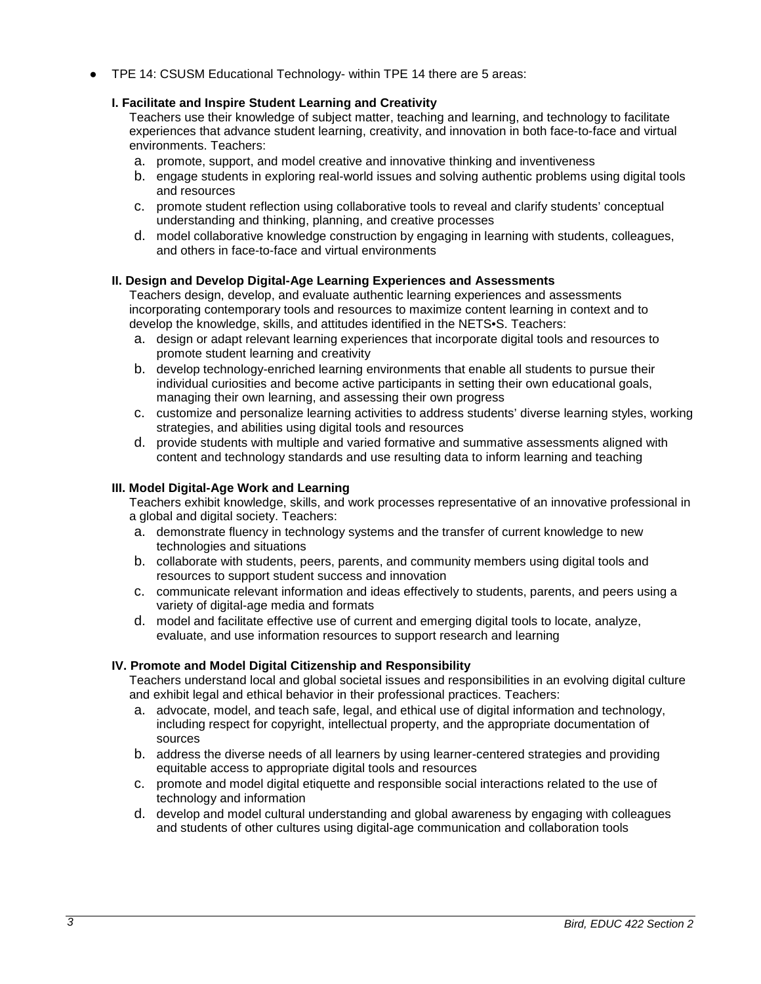TPE 14: CSUSM Educational Technology- within TPE 14 there are 5 areas:

## **I. Facilitate and Inspire Student Learning and Creativity**

Teachers use their knowledge of subject matter, teaching and learning, and technology to facilitate experiences that advance student learning, creativity, and innovation in both face-to-face and virtual environments. Teachers:

- a. promote, support, and model creative and innovative thinking and inventiveness
- b. engage students in exploring real-world issues and solving authentic problems using digital tools and resources
- c. promote student reflection using collaborative tools to reveal and clarify students' conceptual understanding and thinking, planning, and creative processes
- d. model collaborative knowledge construction by engaging in learning with students, colleagues, and others in face-to-face and virtual environments

## **II. Design and Develop Digital-Age Learning Experiences and Assessments**

Teachers design, develop, and evaluate authentic learning experiences and assessments incorporating contemporary tools and resources to maximize content learning in context and to develop the knowledge, skills, and attitudes identified in the NETS•S. Teachers:

- a. design or adapt relevant learning experiences that incorporate digital tools and resources to promote student learning and creativity
- b. develop technology-enriched learning environments that enable all students to pursue their individual curiosities and become active participants in setting their own educational goals, managing their own learning, and assessing their own progress
- c. customize and personalize learning activities to address students' diverse learning styles, working strategies, and abilities using digital tools and resources
- d. provide students with multiple and varied formative and summative assessments aligned with content and technology standards and use resulting data to inform learning and teaching

## **III. Model Digital-Age Work and Learning**

Teachers exhibit knowledge, skills, and work processes representative of an innovative professional in a global and digital society. Teachers:

- a. demonstrate fluency in technology systems and the transfer of current knowledge to new technologies and situations
- b. collaborate with students, peers, parents, and community members using digital tools and resources to support student success and innovation
- c. communicate relevant information and ideas effectively to students, parents, and peers using a variety of digital-age media and formats
- d. model and facilitate effective use of current and emerging digital tools to locate, analyze, evaluate, and use information resources to support research and learning

### **IV. Promote and Model Digital Citizenship and Responsibility**

Teachers understand local and global societal issues and responsibilities in an evolving digital culture and exhibit legal and ethical behavior in their professional practices. Teachers:

- a. advocate, model, and teach safe, legal, and ethical use of digital information and technology, including respect for copyright, intellectual property, and the appropriate documentation of sources
- b. address the diverse needs of all learners by using learner-centered strategies and providing equitable access to appropriate digital tools and resources
- c. promote and model digital etiquette and responsible social interactions related to the use of technology and information
- d. develop and model cultural understanding and global awareness by engaging with colleagues and students of other cultures using digital-age communication and collaboration tools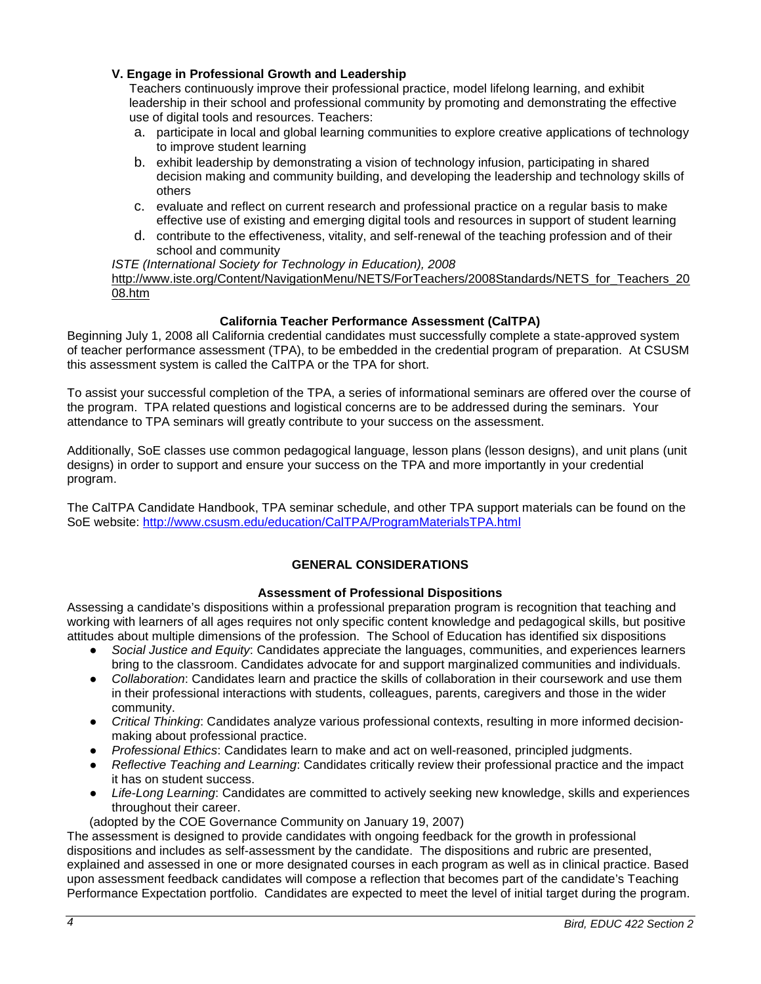## **V. Engage in Professional Growth and Leadership**

Teachers continuously improve their professional practice, model lifelong learning, and exhibit leadership in their school and professional community by promoting and demonstrating the effective use of digital tools and resources. Teachers:

- a. participate in local and global learning communities to explore creative applications of technology to improve student learning
- b. exhibit leadership by demonstrating a vision of technology infusion, participating in shared decision making and community building, and developing the leadership and technology skills of others
- c. evaluate and reflect on current research and professional practice on a regular basis to make effective use of existing and emerging digital tools and resources in support of student learning
- d. contribute to the effectiveness, vitality, and self-renewal of the teaching profession and of their school and community

#### *ISTE (International Society for Technology in Education), 2008*

[http://www.iste.org/Content/NavigationMenu/NETS/ForTeachers/2008Standards/NETS\\_for\\_Teachers\\_20](http://www.iste.org/Content/NavigationMenu/NETS/ForTeachers/2008Standards/NETS_for_Teachers_2008.htm) [08.htm](http://www.iste.org/Content/NavigationMenu/NETS/ForTeachers/2008Standards/NETS_for_Teachers_2008.htm)

# **California Teacher Performance Assessment (CalTPA)**

Beginning July 1, 2008 all California credential candidates must successfully complete a state-approved system of teacher performance assessment (TPA), to be embedded in the credential program of preparation. At CSUSM this assessment system is called the CalTPA or the TPA for short.

To assist your successful completion of the TPA, a series of informational seminars are offered over the course of the program. TPA related questions and logistical concerns are to be addressed during the seminars. Your attendance to TPA seminars will greatly contribute to your success on the assessment.

Additionally, SoE classes use common pedagogical language, lesson plans (lesson designs), and unit plans (unit designs) in order to support and ensure your success on the TPA and more importantly in your credential program.

The CalTPA Candidate Handbook, TPA seminar schedule, and other TPA support materials can be found on the SoE website: <http://www.csusm.edu/education/CalTPA/ProgramMaterialsTPA.html>

# **GENERAL CONSIDERATIONS**

## **Assessment of Professional Dispositions**

Assessing a candidate's dispositions within a professional preparation program is recognition that teaching and working with learners of all ages requires not only specific content knowledge and pedagogical skills, but positive attitudes about multiple dimensions of the profession. The School of Education has identified six dispositions

- *Social Justice and Equity*: Candidates appreciate the languages, communities, and experiences learners bring to the classroom. Candidates advocate for and support marginalized communities and individuals.
- *Collaboration*: Candidates learn and practice the skills of collaboration in their coursework and use them in their professional interactions with students, colleagues, parents, caregivers and those in the wider community.
- *Critical Thinking*: Candidates analyze various professional contexts, resulting in more informed decisionmaking about professional practice.
- *Professional Ethics*: Candidates learn to make and act on well-reasoned, principled judgments.
- *Reflective Teaching and Learning*: Candidates critically review their professional practice and the impact it has on student success.
- *Life-Long Learning*: Candidates are committed to actively seeking new knowledge, skills and experiences throughout their career.
- (adopted by the COE Governance Community on January 19, 2007)

The assessment is designed to provide candidates with ongoing feedback for the growth in professional dispositions and includes as self-assessment by the candidate. The dispositions and rubric are presented, explained and assessed in one or more designated courses in each program as well as in clinical practice. Based upon assessment feedback candidates will compose a reflection that becomes part of the candidate's Teaching Performance Expectation portfolio. Candidates are expected to meet the level of initial target during the program.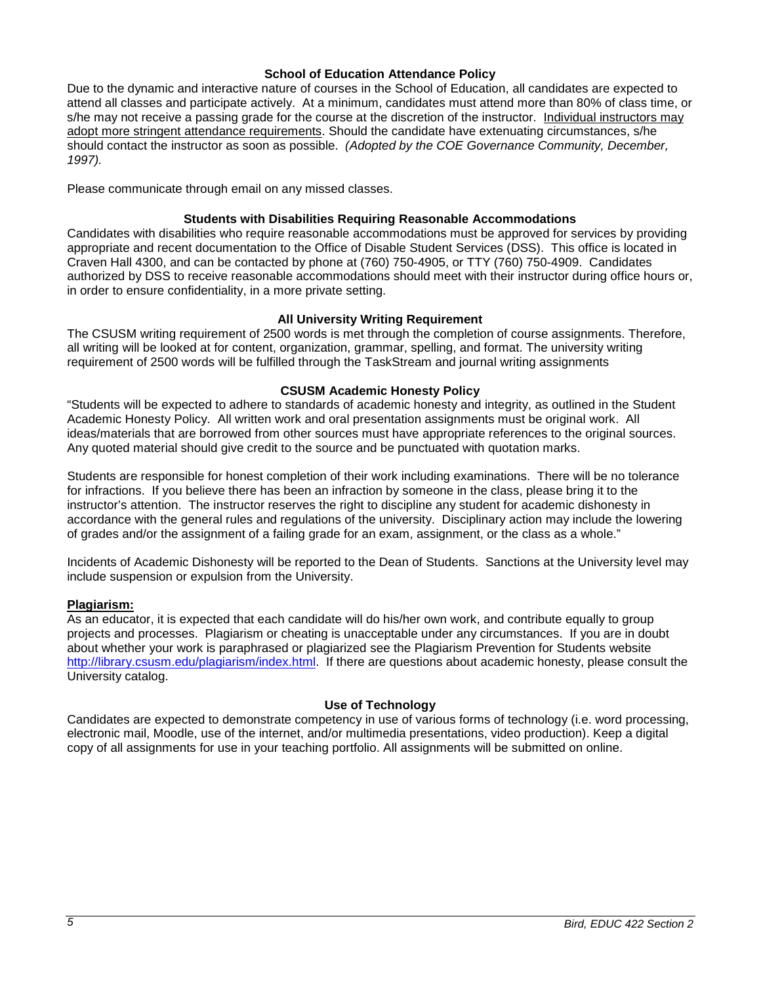#### **School of Education Attendance Policy**

Due to the dynamic and interactive nature of courses in the School of Education, all candidates are expected to attend all classes and participate actively. At a minimum, candidates must attend more than 80% of class time, or s/he may not receive a passing grade for the course at the discretion of the instructor. Individual instructors may adopt more stringent attendance requirements. Should the candidate have extenuating circumstances, s/he should contact the instructor as soon as possible. *(Adopted by the COE Governance Community, December, 1997).*

Please communicate through email on any missed classes.

#### **Students with Disabilities Requiring Reasonable Accommodations**

Candidates with disabilities who require reasonable accommodations must be approved for services by providing appropriate and recent documentation to the Office of Disable Student Services (DSS). This office is located in Craven Hall 4300, and can be contacted by phone at (760) 750-4905, or TTY (760) 750-4909. Candidates authorized by DSS to receive reasonable accommodations should meet with their instructor during office hours or, in order to ensure confidentiality, in a more private setting.

#### **All University Writing Requirement**

The CSUSM writing requirement of 2500 words is met through the completion of course assignments. Therefore, all writing will be looked at for content, organization, grammar, spelling, and format. The university writing requirement of 2500 words will be fulfilled through the TaskStream and journal writing assignments

#### **CSUSM Academic Honesty Policy**

"Students will be expected to adhere to standards of academic honesty and integrity, as outlined in the Student Academic Honesty Policy. All written work and oral presentation assignments must be original work. All ideas/materials that are borrowed from other sources must have appropriate references to the original sources. Any quoted material should give credit to the source and be punctuated with quotation marks.

Students are responsible for honest completion of their work including examinations. There will be no tolerance for infractions. If you believe there has been an infraction by someone in the class, please bring it to the instructor's attention. The instructor reserves the right to discipline any student for academic dishonesty in accordance with the general rules and regulations of the university. Disciplinary action may include the lowering of grades and/or the assignment of a failing grade for an exam, assignment, or the class as a whole."

Incidents of Academic Dishonesty will be reported to the Dean of Students. Sanctions at the University level may include suspension or expulsion from the University.

#### **Plagiarism:**

As an educator, it is expected that each candidate will do his/her own work, and contribute equally to group projects and processes. Plagiarism or cheating is unacceptable under any circumstances. If you are in doubt about whether your work is paraphrased or plagiarized see the Plagiarism Prevention for Students website [http://library.csusm.edu/plagiarism/index.html.](http://library.csusm.edu/plagiarism/index.html) If there are questions about academic honesty, please consult the University catalog.

### **Use of Technology**

Candidates are expected to demonstrate competency in use of various forms of technology (i.e. word processing, electronic mail, Moodle, use of the internet, and/or multimedia presentations, video production). Keep a digital copy of all assignments for use in your teaching portfolio. All assignments will be submitted on online.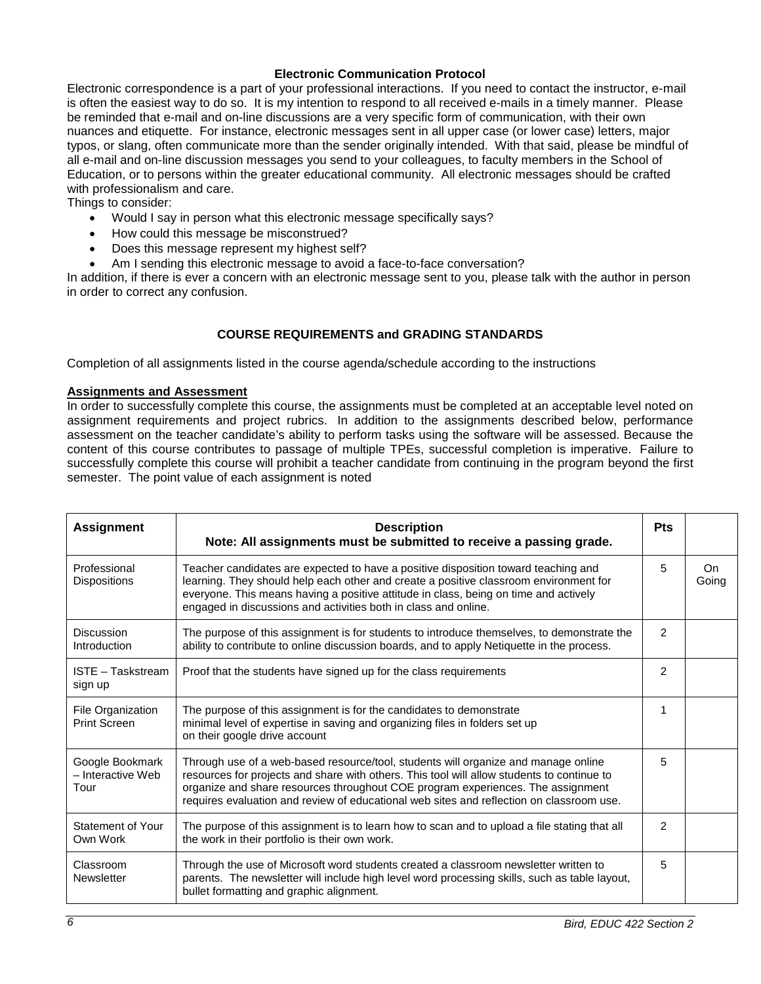## **Electronic Communication Protocol**

Electronic correspondence is a part of your professional interactions. If you need to contact the instructor, e-mail is often the easiest way to do so. It is my intention to respond to all received e-mails in a timely manner. Please be reminded that e-mail and on-line discussions are a very specific form of communication, with their own nuances and etiquette. For instance, electronic messages sent in all upper case (or lower case) letters, major typos, or slang, often communicate more than the sender originally intended. With that said, please be mindful of all e-mail and on-line discussion messages you send to your colleagues, to faculty members in the School of Education, or to persons within the greater educational community. All electronic messages should be crafted with professionalism and care.

Things to consider:

- Would I say in person what this electronic message specifically says?
- How could this message be misconstrued?
- Does this message represent my highest self?
- Am I sending this electronic message to avoid a face-to-face conversation?

In addition, if there is ever a concern with an electronic message sent to you, please talk with the author in person in order to correct any confusion.

# **COURSE REQUIREMENTS and GRADING STANDARDS**

Completion of all assignments listed in the course agenda/schedule according to the instructions

### **Assignments and Assessment**

In order to successfully complete this course, the assignments must be completed at an acceptable level noted on assignment requirements and project rubrics. In addition to the assignments described below, performance assessment on the teacher candidate's ability to perform tasks using the software will be assessed. Because the content of this course contributes to passage of multiple TPEs, successful completion is imperative. Failure to successfully complete this course will prohibit a teacher candidate from continuing in the program beyond the first semester. The point value of each assignment is noted

| <b>Assignment</b>                            | <b>Description</b><br>Note: All assignments must be submitted to receive a passing grade.                                                                                                                                                                                                                                                                       | <b>Pts</b>    |              |
|----------------------------------------------|-----------------------------------------------------------------------------------------------------------------------------------------------------------------------------------------------------------------------------------------------------------------------------------------------------------------------------------------------------------------|---------------|--------------|
| Professional<br><b>Dispositions</b>          | Teacher candidates are expected to have a positive disposition toward teaching and<br>learning. They should help each other and create a positive classroom environment for<br>everyone. This means having a positive attitude in class, being on time and actively<br>engaged in discussions and activities both in class and online.                          | 5             | On.<br>Going |
| Discussion<br>Introduction                   | The purpose of this assignment is for students to introduce themselves, to demonstrate the<br>ability to contribute to online discussion boards, and to apply Netiquette in the process.                                                                                                                                                                        | $\mathcal{P}$ |              |
| ISTE - Taskstream<br>sign up                 | Proof that the students have signed up for the class requirements                                                                                                                                                                                                                                                                                               | 2             |              |
| File Organization<br><b>Print Screen</b>     | The purpose of this assignment is for the candidates to demonstrate<br>minimal level of expertise in saving and organizing files in folders set up<br>on their google drive account                                                                                                                                                                             | 1             |              |
| Google Bookmark<br>- Interactive Web<br>Tour | Through use of a web-based resource/tool, students will organize and manage online<br>resources for projects and share with others. This tool will allow students to continue to<br>organize and share resources throughout COE program experiences. The assignment<br>requires evaluation and review of educational web sites and reflection on classroom use. | 5             |              |
| Statement of Your<br>Own Work                | The purpose of this assignment is to learn how to scan and to upload a file stating that all<br>the work in their portfolio is their own work.                                                                                                                                                                                                                  | 2             |              |
| Classroom<br>Newsletter                      | Through the use of Microsoft word students created a classroom newsletter written to<br>parents. The newsletter will include high level word processing skills, such as table layout,<br>bullet formatting and graphic alignment.                                                                                                                               | 5             |              |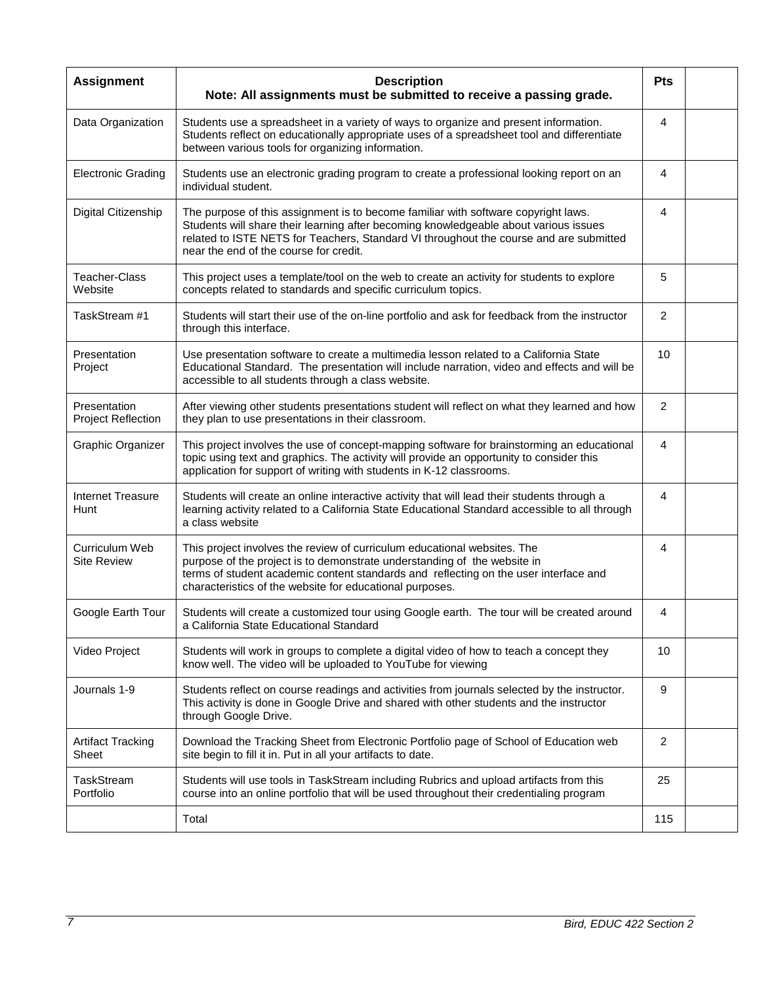| <b>Assignment</b>                         | <b>Description</b><br>Note: All assignments must be submitted to receive a passing grade.                                                                                                                                                                                                                      | <b>Pts</b>     |  |
|-------------------------------------------|----------------------------------------------------------------------------------------------------------------------------------------------------------------------------------------------------------------------------------------------------------------------------------------------------------------|----------------|--|
| Data Organization                         | Students use a spreadsheet in a variety of ways to organize and present information.<br>Students reflect on educationally appropriate uses of a spreadsheet tool and differentiate<br>between various tools for organizing information.                                                                        | 4              |  |
| <b>Electronic Grading</b>                 | Students use an electronic grading program to create a professional looking report on an<br>individual student.                                                                                                                                                                                                | 4              |  |
| Digital Citizenship                       | The purpose of this assignment is to become familiar with software copyright laws.<br>Students will share their learning after becoming knowledgeable about various issues<br>related to ISTE NETS for Teachers, Standard VI throughout the course and are submitted<br>near the end of the course for credit. | 4              |  |
| Teacher-Class<br>Website                  | This project uses a template/tool on the web to create an activity for students to explore<br>concepts related to standards and specific curriculum topics.                                                                                                                                                    | 5              |  |
| TaskStream #1                             | Students will start their use of the on-line portfolio and ask for feedback from the instructor<br>through this interface.                                                                                                                                                                                     | 2              |  |
| Presentation<br>Project                   | Use presentation software to create a multimedia lesson related to a California State<br>Educational Standard. The presentation will include narration, video and effects and will be<br>accessible to all students through a class website.                                                                   | 10             |  |
| Presentation<br><b>Project Reflection</b> | After viewing other students presentations student will reflect on what they learned and how<br>they plan to use presentations in their classroom.                                                                                                                                                             | 2              |  |
| Graphic Organizer                         | This project involves the use of concept-mapping software for brainstorming an educational<br>topic using text and graphics. The activity will provide an opportunity to consider this<br>application for support of writing with students in K-12 classrooms.                                                 | 4              |  |
| <b>Internet Treasure</b><br>Hunt          | Students will create an online interactive activity that will lead their students through a<br>learning activity related to a California State Educational Standard accessible to all through<br>a class website                                                                                               | 4              |  |
| Curriculum Web<br><b>Site Review</b>      | This project involves the review of curriculum educational websites. The<br>purpose of the project is to demonstrate understanding of the website in<br>terms of student academic content standards and reflecting on the user interface and<br>characteristics of the website for educational purposes.       | 4              |  |
| Google Earth Tour                         | Students will create a customized tour using Google earth. The tour will be created around<br>a California State Educational Standard                                                                                                                                                                          | 4              |  |
| Video Project                             | Students will work in groups to complete a digital video of how to teach a concept they<br>know well. The video will be uploaded to YouTube for viewing                                                                                                                                                        | 10             |  |
| Journals 1-9                              | Students reflect on course readings and activities from journals selected by the instructor.<br>This activity is done in Google Drive and shared with other students and the instructor<br>through Google Drive.                                                                                               | 9              |  |
| <b>Artifact Tracking</b><br>Sheet         | Download the Tracking Sheet from Electronic Portfolio page of School of Education web<br>site begin to fill it in. Put in all your artifacts to date.                                                                                                                                                          | $\overline{2}$ |  |
| TaskStream<br>Portfolio                   | Students will use tools in TaskStream including Rubrics and upload artifacts from this<br>course into an online portfolio that will be used throughout their credentialing program                                                                                                                             | 25             |  |
|                                           | Total                                                                                                                                                                                                                                                                                                          | 115            |  |